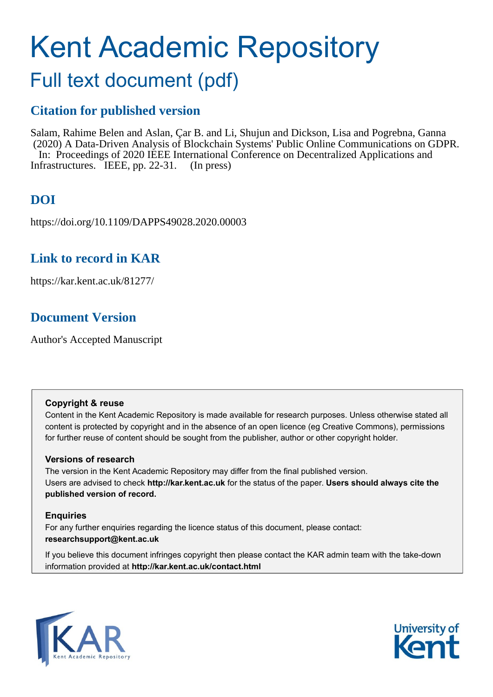# Kent Academic Repository

# Full text document (pdf)

### **Citation for published version**

Salam, Rahime Belen and Aslan, Çar B. and Li, Shujun and Dickson, Lisa and Pogrebna, Ganna (2020) A Data-Driven Analysis of Blockchain Systems' Public Online Communications on GDPR. In: Proceedings of 2020 IEEE International Conference on Decentralized Applications and Infrastructures. IEEE, pp. 22-31. (In press)

# **DOI**

https://doi.org/10.1109/DAPPS49028.2020.00003

### **Link to record in KAR**

https://kar.kent.ac.uk/81277/

## **Document Version**

Author's Accepted Manuscript

#### **Copyright & reuse**

Content in the Kent Academic Repository is made available for research purposes. Unless otherwise stated all content is protected by copyright and in the absence of an open licence (eg Creative Commons), permissions for further reuse of content should be sought from the publisher, author or other copyright holder.

#### **Versions of research**

The version in the Kent Academic Repository may differ from the final published version. Users are advised to check **http://kar.kent.ac.uk** for the status of the paper. **Users should always cite the published version of record.**

#### **Enquiries**

For any further enquiries regarding the licence status of this document, please contact: **researchsupport@kent.ac.uk**

If you believe this document infringes copyright then please contact the KAR admin team with the take-down information provided at **http://kar.kent.ac.uk/contact.html**



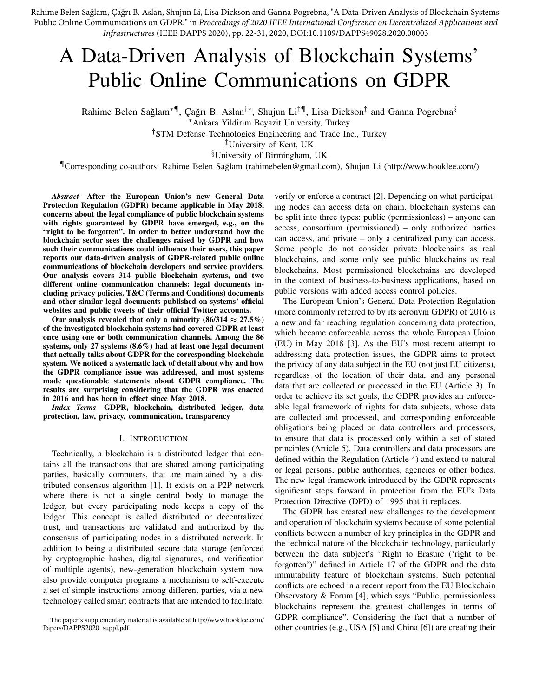Rahime Belen Sağlam, Çağrı B. Aslan, Shujun Li, Lisa Dickson and Ganna Pogrebna, "A Data-Driven Analysis of Blockchain Systems' Public Online Communications on GDPR," in *Proceedings of 2020 IEEE International Conference on Decentralized Applications and Infrastructures* (IEEE DAPPS 2020), pp. 22-31, 2020, DOI:10.1109/DAPPS49028.2020.00003

# A Data-Driven Analysis of Blockchain Systems' Public Online Communications on GDPR

Rahime Belen Sağlam $^*$ ¶, Çağrı B. Aslan $^{\dagger *}$ , Shujun Li $^{\ddagger}$ ¶, Lisa Dickson $^{\ddagger}$  and Ganna Pogrebna $^{\S}$ 

<sup>∗</sup>Ankara Yildirim Beyazit University, Turkey

†STM Defense Technologies Engineering and Trade Inc., Turkey

‡University of Kent, UK

§University of Birmingham, UK

¶Corresponding co-authors: Rahime Belen Saglam (rahimebelen@gmail.com), Shujun Li (http://www.hooklee.com/) ˘

*Abstract*—After the European Union's new General Data Protection Regulation (GDPR) became applicable in May 2018, concerns about the legal compliance of public blockchain systems with rights guaranteed by GDPR have emerged, e.g., on the "right to be forgotten". In order to better understand how the blockchain sector sees the challenges raised by GDPR and how such their communications could influence their users, this paper reports our data-driven analysis of GDPR-related public online communications of blockchain developers and service providers. Our analysis covers 314 public blockchain systems, and two different online communication channels: legal documents including privacy policies, T&C (Terms and Conditions) documents and other similar legal documents published on systems' official websites and public tweets of their official Twitter accounts.

Our analysis revealed that only a minority (86/314  $\approx$  27.5%) of the investigated blockchain systems had covered GDPR at least once using one or both communication channels. Among the 86 systems, only 27 systems (8.6%) had at least one legal document that actually talks about GDPR for the corresponding blockchain system. We noticed a systematic lack of detail about why and how the GDPR compliance issue was addressed, and most systems made questionable statements about GDPR compliance. The results are surprising considering that the GDPR was enacted in 2016 and has been in effect since May 2018.

*Index Terms*—GDPR, blockchain, distributed ledger, data protection, law, privacy, communication, transparency

#### I. INTRODUCTION

Technically, a blockchain is a distributed ledger that contains all the transactions that are shared among participating parties, basically computers, that are maintained by a distributed consensus algorithm [1]. It exists on a P2P network where there is not a single central body to manage the ledger, but every participating node keeps a copy of the ledger. This concept is called distributed or decentralized trust, and transactions are validated and authorized by the consensus of participating nodes in a distributed network. In addition to being a distributed secure data storage (enforced by cryptographic hashes, digital signatures, and verification of multiple agents), new-generation blockchain system now also provide computer programs a mechanism to self-execute a set of simple instructions among different parties, via a new technology called smart contracts that are intended to facilitate,

verify or enforce a contract [2]. Depending on what participating nodes can access data on chain, blockchain systems can be split into three types: public (permissionless) – anyone can access, consortium (permissioned) – only authorized parties can access, and private – only a centralized party can access. Some people do not consider private blockchains as real blockchains, and some only see public blockchains as real blockchains. Most permissioned blockchains are developed in the context of business-to-business applications, based on public versions with added access control policies.

The European Union's General Data Protection Regulation (more commonly referred to by its acronym GDPR) of 2016 is a new and far reaching regulation concerning data protection, which became enforceable across the whole European Union (EU) in May 2018 [3]. As the EU's most recent attempt to addressing data protection issues, the GDPR aims to protect the privacy of any data subject in the EU (not just EU citizens), regardless of the location of their data, and any personal data that are collected or processed in the EU (Article 3). In order to achieve its set goals, the GDPR provides an enforceable legal framework of rights for data subjects, whose data are collected and processed, and corresponding enforceable obligations being placed on data controllers and processors, to ensure that data is processed only within a set of stated principles (Article 5). Data controllers and data processors are defined within the Regulation (Article 4) and extend to natural or legal persons, public authorities, agencies or other bodies. The new legal framework introduced by the GDPR represents significant steps forward in protection from the EU's Data Protection Directive (DPD) of 1995 that it replaces.

The GDPR has created new challenges to the development and operation of blockchain systems because of some potential conflicts between a number of key principles in the GDPR and the technical nature of the blockchain technology, particularly between the data subject's "Right to Erasure ('right to be forgotten')" defined in Article 17 of the GDPR and the data immutability feature of blockchain systems. Such potential conflicts are echoed in a recent report from the EU Blockchain Observatory & Forum [4], which says "Public, permissionless blockchains represent the greatest challenges in terms of GDPR compliance". Considering the fact that a number of other countries (e.g., USA [5] and China [6]) are creating their

The paper's supplementary material is available at http://www.hooklee.com/ Papers/DAPPS2020\_suppl.pdf.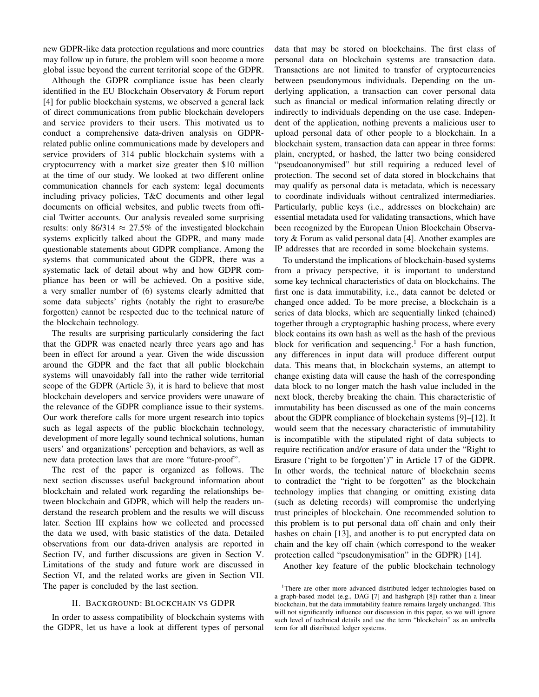new GDPR-like data protection regulations and more countries may follow up in future, the problem will soon become a more global issue beyond the current territorial scope of the GDPR.

Although the GDPR compliance issue has been clearly identified in the EU Blockchain Observatory & Forum report [4] for public blockchain systems, we observed a general lack of direct communications from public blockchain developers and service providers to their users. This motivated us to conduct a comprehensive data-driven analysis on GDPRrelated public online communications made by developers and service providers of 314 public blockchain systems with a cryptocurrency with a market size greater then \$10 million at the time of our study. We looked at two different online communication channels for each system: legal documents including privacy policies, T&C documents and other legal documents on official websites, and public tweets from official Twitter accounts. Our analysis revealed some surprising results: only 86/314  $\approx$  27.5% of the investigated blockchain systems explicitly talked about the GDPR, and many made questionable statements about GDPR compliance. Among the systems that communicated about the GDPR, there was a systematic lack of detail about why and how GDPR compliance has been or will be achieved. On a positive side, a very smaller number of (6) systems clearly admitted that some data subjects' rights (notably the right to erasure/be forgotten) cannot be respected due to the technical nature of the blockchain technology.

The results are surprising particularly considering the fact that the GDPR was enacted nearly three years ago and has been in effect for around a year. Given the wide discussion around the GDPR and the fact that all public blockchain systems will unavoidably fall into the rather wide territorial scope of the GDPR (Article 3), it is hard to believe that most blockchain developers and service providers were unaware of the relevance of the GDPR compliance issue to their systems. Our work therefore calls for more urgent research into topics such as legal aspects of the public blockchain technology, development of more legally sound technical solutions, human users' and organizations' perception and behaviors, as well as new data protection laws that are more "future-proof".

The rest of the paper is organized as follows. The next section discusses useful background information about blockchain and related work regarding the relationships between blockchain and GDPR, which will help the readers understand the research problem and the results we will discuss later. Section III explains how we collected and processed the data we used, with basic statistics of the data. Detailed observations from our data-driven analysis are reported in Section IV, and further discussions are given in Section V. Limitations of the study and future work are discussed in Section VI, and the related works are given in Section VII. The paper is concluded by the last section.

#### II. BACKGROUND: BLOCKCHAIN VS GDPR

In order to assess compatibility of blockchain systems with the GDPR, let us have a look at different types of personal data that may be stored on blockchains. The first class of personal data on blockchain systems are transaction data. Transactions are not limited to transfer of cryptocurrencies between pseudonymous individuals. Depending on the underlying application, a transaction can cover personal data such as financial or medical information relating directly or indirectly to individuals depending on the use case. Independent of the application, nothing prevents a malicious user to upload personal data of other people to a blockchain. In a blockchain system, transaction data can appear in three forms: plain, encrypted, or hashed, the latter two being considered "pseudoanonymised" but still requiring a reduced level of protection. The second set of data stored in blockchains that may qualify as personal data is metadata, which is necessary to coordinate individuals without centralized intermediaries. Particularly, public keys (i.e., addresses on blockchain) are essential metadata used for validating transactions, which have been recognized by the European Union Blockchain Observatory & Forum as valid personal data [4]. Another examples are IP addresses that are recorded in some blockchain systems.

To understand the implications of blockchain-based systems from a privacy perspective, it is important to understand some key technical characteristics of data on blockchains. The first one is data immutability, i.e., data cannot be deleted or changed once added. To be more precise, a blockchain is a series of data blocks, which are sequentially linked (chained) together through a cryptographic hashing process, where every block contains its own hash as well as the hash of the previous block for verification and sequencing.<sup>1</sup> For a hash function, any differences in input data will produce different output data. This means that, in blockchain systems, an attempt to change existing data will cause the hash of the corresponding data block to no longer match the hash value included in the next block, thereby breaking the chain. This characteristic of immutability has been discussed as one of the main concerns about the GDPR compliance of blockchain systems [9]–[12]. It would seem that the necessary characteristic of immutability is incompatible with the stipulated right of data subjects to require rectification and/or erasure of data under the "Right to Erasure ('right to be forgotten')" in Article 17 of the GDPR. In other words, the technical nature of blockchain seems to contradict the "right to be forgotten" as the blockchain technology implies that changing or omitting existing data (such as deleting records) will compromise the underlying trust principles of blockchain. One recommended solution to this problem is to put personal data off chain and only their hashes on chain [13], and another is to put encrypted data on chain and the key off chain (which correspond to the weaker protection called "pseudonymisation" in the GDPR) [14].

Another key feature of the public blockchain technology

<sup>&</sup>lt;sup>1</sup>There are other more advanced distributed ledger technologies based on a graph-based model (e.g., DAG [7] and hashgraph [8]) rather than a linear blockchain, but the data immutability feature remains largely unchanged. This will not significantly influence our discussion in this paper, so we will ignore such level of technical details and use the term "blockchain" as an umbrella term for all distributed ledger systems.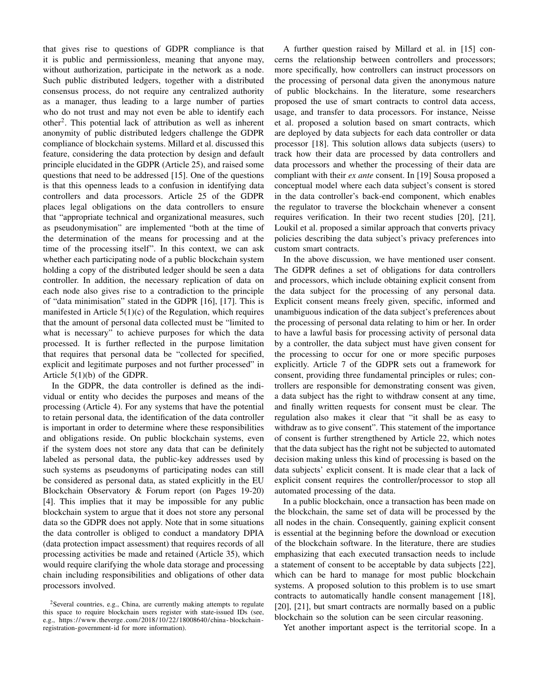that gives rise to questions of GDPR compliance is that it is public and permissionless, meaning that anyone may, without authorization, participate in the network as a node. Such public distributed ledgers, together with a distributed consensus process, do not require any centralized authority as a manager, thus leading to a large number of parties who do not trust and may not even be able to identify each other<sup>2</sup>. This potential lack of attribution as well as inherent anonymity of public distributed ledgers challenge the GDPR compliance of blockchain systems. Millard et al. discussed this feature, considering the data protection by design and default principle elucidated in the GDPR (Article 25), and raised some questions that need to be addressed [15]. One of the questions is that this openness leads to a confusion in identifying data controllers and data processors. Article 25 of the GDPR places legal obligations on the data controllers to ensure that "appropriate technical and organizational measures, such as pseudonymisation" are implemented "both at the time of the determination of the means for processing and at the time of the processing itself". In this context, we can ask whether each participating node of a public blockchain system holding a copy of the distributed ledger should be seen a data controller. In addition, the necessary replication of data on each node also gives rise to a contradiction to the principle of "data minimisation" stated in the GDPR [16], [17]. This is manifested in Article  $5(1)(c)$  of the Regulation, which requires that the amount of personal data collected must be "limited to what is necessary" to achieve purposes for which the data processed. It is further reflected in the purpose limitation that requires that personal data be "collected for specified, explicit and legitimate purposes and not further processed" in Article 5(1)(b) of the GDPR.

In the GDPR, the data controller is defined as the individual or entity who decides the purposes and means of the processing (Article 4). For any systems that have the potential to retain personal data, the identification of the data controller is important in order to determine where these responsibilities and obligations reside. On public blockchain systems, even if the system does not store any data that can be definitely labeled as personal data, the public-key addresses used by such systems as pseudonyms of participating nodes can still be considered as personal data, as stated explicitly in the EU Blockchain Observatory & Forum report (on Pages 19-20) [4]. This implies that it may be impossible for any public blockchain system to argue that it does not store any personal data so the GDPR does not apply. Note that in some situations the data controller is obliged to conduct a mandatory DPIA (data protection impact assessment) that requires records of all processing activities be made and retained (Article 35), which would require clarifying the whole data storage and processing chain including responsibilities and obligations of other data processors involved.

<sup>2</sup>Several countries, e.g., China, are currently making attempts to regulate this space to require blockchain users register with state-issued IDs (see, e.g., https://www.theverge.com/2018/10/22/18008640/china - blockchain registration-government-id for more information).

A further question raised by Millard et al. in [15] concerns the relationship between controllers and processors; more specifically, how controllers can instruct processors on the processing of personal data given the anonymous nature of public blockchains. In the literature, some researchers proposed the use of smart contracts to control data access, usage, and transfer to data processors. For instance, Neisse et al. proposed a solution based on smart contracts, which are deployed by data subjects for each data controller or data processor [18]. This solution allows data subjects (users) to track how their data are processed by data controllers and data processors and whether the processing of their data are compliant with their *ex ante* consent. In [19] Sousa proposed a conceptual model where each data subject's consent is stored in the data controller's back-end component, which enables the regulator to traverse the blockchain whenever a consent requires verification. In their two recent studies [20], [21], Loukil et al. proposed a similar approach that converts privacy policies describing the data subject's privacy preferences into custom smart contracts.

In the above discussion, we have mentioned user consent. The GDPR defines a set of obligations for data controllers and processors, which include obtaining explicit consent from the data subject for the processing of any personal data. Explicit consent means freely given, specific, informed and unambiguous indication of the data subject's preferences about the processing of personal data relating to him or her. In order to have a lawful basis for processing activity of personal data by a controller, the data subject must have given consent for the processing to occur for one or more specific purposes explicitly. Article 7 of the GDPR sets out a framework for consent, providing three fundamental principles or rules; controllers are responsible for demonstrating consent was given, a data subject has the right to withdraw consent at any time, and finally written requests for consent must be clear. The regulation also makes it clear that "it shall be as easy to withdraw as to give consent". This statement of the importance of consent is further strengthened by Article 22, which notes that the data subject has the right not be subjected to automated decision making unless this kind of processing is based on the data subjects' explicit consent. It is made clear that a lack of explicit consent requires the controller/processor to stop all automated processing of the data.

In a public blockchain, once a transaction has been made on the blockchain, the same set of data will be processed by the all nodes in the chain. Consequently, gaining explicit consent is essential at the beginning before the download or execution of the blockchain software. In the literature, there are studies emphasizing that each executed transaction needs to include a statement of consent to be acceptable by data subjects [22], which can be hard to manage for most public blockchain systems. A proposed solution to this problem is to use smart contracts to automatically handle consent management [18], [20], [21], but smart contracts are normally based on a public blockchain so the solution can be seen circular reasoning.

Yet another important aspect is the territorial scope. In a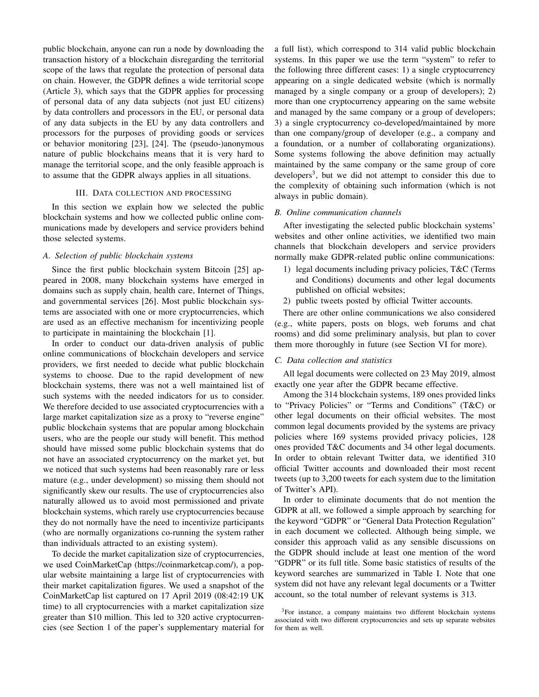public blockchain, anyone can run a node by downloading the transaction history of a blockchain disregarding the territorial scope of the laws that regulate the protection of personal data on chain. However, the GDPR defines a wide territorial scope (Article 3), which says that the GDPR applies for processing of personal data of any data subjects (not just EU citizens) by data controllers and processors in the EU, or personal data of any data subjects in the EU by any data controllers and processors for the purposes of providing goods or services or behavior monitoring [23], [24]. The (pseudo-)anonymous nature of public blockchains means that it is very hard to manage the territorial scope, and the only feasible approach is to assume that the GDPR always applies in all situations.

#### III. DATA COLLECTION AND PROCESSING

In this section we explain how we selected the public blockchain systems and how we collected public online communications made by developers and service providers behind those selected systems.

#### *A. Selection of public blockchain systems*

Since the first public blockchain system Bitcoin [25] appeared in 2008, many blockchain systems have emerged in domains such as supply chain, health care, Internet of Things, and governmental services [26]. Most public blockchain systems are associated with one or more cryptocurrencies, which are used as an effective mechanism for incentivizing people to participate in maintaining the blockchain [1].

In order to conduct our data-driven analysis of public online communications of blockchain developers and service providers, we first needed to decide what public blockchain systems to choose. Due to the rapid development of new blockchain systems, there was not a well maintained list of such systems with the needed indicators for us to consider. We therefore decided to use associated cryptocurrencies with a large market capitalization size as a proxy to "reverse engine" public blockchain systems that are popular among blockchain users, who are the people our study will benefit. This method should have missed some public blockchain systems that do not have an associated cryptocurrency on the market yet, but we noticed that such systems had been reasonably rare or less mature (e.g., under development) so missing them should not significantly skew our results. The use of cryptocurrencies also naturally allowed us to avoid most permissioned and private blockchain systems, which rarely use cryptocurrencies because they do not normally have the need to incentivize participants (who are normally organizations co-running the system rather than individuals attracted to an existing system).

To decide the market capitalization size of cryptocurrencies, we used CoinMarketCap (https://coinmarketcap.com/), a popular website maintaining a large list of cryptocurrencies with their market capitalization figures. We used a snapshot of the CoinMarketCap list captured on 17 April 2019 (08:42:19 UK time) to all cryptocurrencies with a market capitalization size greater than \$10 million. This led to 320 active cryptocurrencies (see Section 1 of the paper's supplementary material for a full list), which correspond to 314 valid public blockchain systems. In this paper we use the term "system" to refer to the following three different cases: 1) a single cryptocurrency appearing on a single dedicated website (which is normally managed by a single company or a group of developers); 2) more than one cryptocurrency appearing on the same website and managed by the same company or a group of developers; 3) a single cryptocurrency co-developed/maintained by more than one company/group of developer (e.g., a company and a foundation, or a number of collaborating organizations). Some systems following the above definition may actually maintained by the same company or the same group of core developers<sup>3</sup>, but we did not attempt to consider this due to the complexity of obtaining such information (which is not always in public domain).

#### *B. Online communication channels*

After investigating the selected public blockchain systems' websites and other online activities, we identified two main channels that blockchain developers and service providers normally make GDPR-related public online communications:

- 1) legal documents including privacy policies, T&C (Terms and Conditions) documents and other legal documents published on official websites;
- 2) public tweets posted by official Twitter accounts.

There are other online communications we also considered (e.g., white papers, posts on blogs, web forums and chat rooms) and did some preliminary analysis, but plan to cover them more thoroughly in future (see Section VI for more).

#### *C. Data collection and statistics*

All legal documents were collected on 23 May 2019, almost exactly one year after the GDPR became effective.

Among the 314 blockchain systems, 189 ones provided links to "Privacy Policies" or "Terms and Conditions" (T&C) or other legal documents on their official websites. The most common legal documents provided by the systems are privacy policies where 169 systems provided privacy policies, 128 ones provided T&C documents and 34 other legal documents. In order to obtain relevant Twitter data, we identified 310 official Twitter accounts and downloaded their most recent tweets (up to 3,200 tweets for each system due to the limitation of Twitter's API).

In order to eliminate documents that do not mention the GDPR at all, we followed a simple approach by searching for the keyword "GDPR" or "General Data Protection Regulation" in each document we collected. Although being simple, we consider this approach valid as any sensible discussions on the GDPR should include at least one mention of the word "GDPR" or its full title. Some basic statistics of results of the keyword searches are summarized in Table I. Note that one system did not have any relevant legal documents or a Twitter account, so the total number of relevant systems is 313.

<sup>&</sup>lt;sup>3</sup>For instance, a company maintains two different blockchain systems associated with two different cryptocurrencies and sets up separate websites for them as well.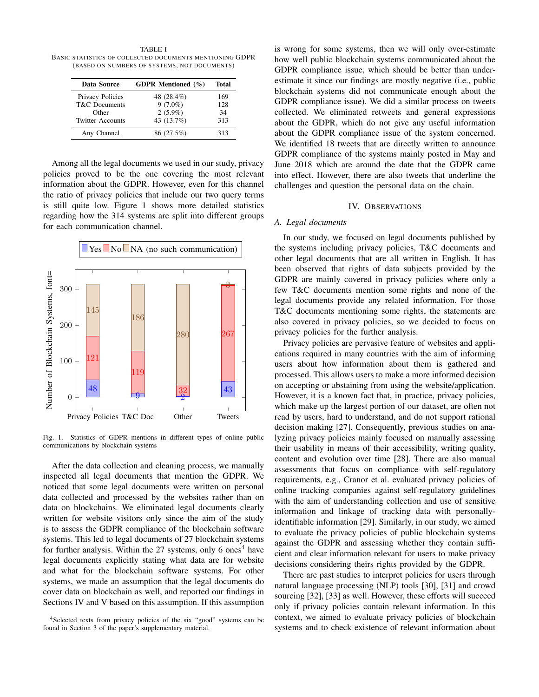TABLE I BASIC STATISTICS OF COLLECTED DOCUMENTS MENTIONING GDPR (BASED ON NUMBERS OF SYSTEMS, NOT DOCUMENTS)

| Data Source              | <b>GDPR</b> Mentioned (%) | Total |
|--------------------------|---------------------------|-------|
| Privacy Policies         | 48 (28.4%)                | 169   |
| <b>T&amp;C</b> Documents | $9(7.0\%)$                | 128   |
| Other                    | $2(5.9\%)$                | 34    |
| <b>Twitter Accounts</b>  | 43 (13.7%)                | 313   |
| Any Channel              | 86 (27.5%)                | 313   |

Among all the legal documents we used in our study, privacy policies proved to be the one covering the most relevant information about the GDPR. However, even for this channel the ratio of privacy policies that include our two query terms is still quite low. Figure 1 shows more detailed statistics regarding how the 314 systems are split into different groups for each communication channel.



Fig. 1. Statistics of GDPR mentions in different types of online public communications by blockchain systems

After the data collection and cleaning process, we manually inspected all legal documents that mention the GDPR. We noticed that some legal documents were written on personal data collected and processed by the websites rather than on data on blockchains. We eliminated legal documents clearly written for website visitors only since the aim of the study is to assess the GDPR compliance of the blockchain software systems. This led to legal documents of 27 blockchain systems for further analysis. Within the  $27$  systems, only 6 ones<sup>4</sup> have legal documents explicitly stating what data are for website and what for the blockchain software systems. For other systems, we made an assumption that the legal documents do cover data on blockchain as well, and reported our findings in Sections IV and V based on this assumption. If this assumption is wrong for some systems, then we will only over-estimate how well public blockchain systems communicated about the GDPR compliance issue, which should be better than underestimate it since our findings are mostly negative (i.e., public blockchain systems did not communicate enough about the GDPR compliance issue). We did a similar process on tweets collected. We eliminated retweets and general expressions about the GDPR, which do not give any useful information about the GDPR compliance issue of the system concerned. We identified 18 tweets that are directly written to announce GDPR compliance of the systems mainly posted in May and June 2018 which are around the date that the GDPR came into effect. However, there are also tweets that underline the challenges and question the personal data on the chain.

#### IV. OBSERVATIONS

#### *A. Legal documents*

In our study, we focused on legal documents published by the systems including privacy policies, T&C documents and other legal documents that are all written in English. It has been observed that rights of data subjects provided by the GDPR are mainly covered in privacy policies where only a few T&C documents mention some rights and none of the legal documents provide any related information. For those T&C documents mentioning some rights, the statements are also covered in privacy policies, so we decided to focus on privacy policies for the further analysis.

Privacy policies are pervasive feature of websites and applications required in many countries with the aim of informing users about how information about them is gathered and processed. This allows users to make a more informed decision on accepting or abstaining from using the website/application. However, it is a known fact that, in practice, privacy policies, which make up the largest portion of our dataset, are often not read by users, hard to understand, and do not support rational decision making [27]. Consequently, previous studies on analyzing privacy policies mainly focused on manually assessing their usability in means of their accessibility, writing quality, content and evolution over time [28]. There are also manual assessments that focus on compliance with self-regulatory requirements, e.g., Cranor et al. evaluated privacy policies of online tracking companies against self-regulatory guidelines with the aim of understanding collection and use of sensitive information and linkage of tracking data with personallyidentifiable information [29]. Similarly, in our study, we aimed to evaluate the privacy policies of public blockchain systems against the GDPR and assessing whether they contain sufficient and clear information relevant for users to make privacy decisions considering theirs rights provided by the GDPR.

There are past studies to interpret policies for users through natural language processing (NLP) tools [30], [31] and crowd sourcing [32], [33] as well. However, these efforts will succeed only if privacy policies contain relevant information. In this context, we aimed to evaluate privacy policies of blockchain systems and to check existence of relevant information about

<sup>&</sup>lt;sup>4</sup>Selected texts from privacy policies of the six "good" systems can be found in Section 3 of the paper's supplementary material.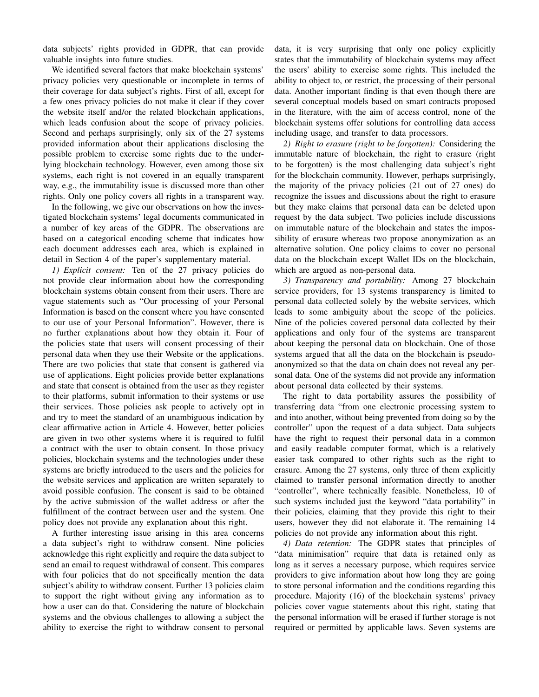data subjects' rights provided in GDPR, that can provide valuable insights into future studies.

We identified several factors that make blockchain systems' privacy policies very questionable or incomplete in terms of their coverage for data subject's rights. First of all, except for a few ones privacy policies do not make it clear if they cover the website itself and/or the related blockchain applications, which leads confusion about the scope of privacy policies. Second and perhaps surprisingly, only six of the 27 systems provided information about their applications disclosing the possible problem to exercise some rights due to the underlying blockchain technology. However, even among those six systems, each right is not covered in an equally transparent way, e.g., the immutability issue is discussed more than other rights. Only one policy covers all rights in a transparent way.

In the following, we give our observations on how the investigated blockchain systems' legal documents communicated in a number of key areas of the GDPR. The observations are based on a categorical encoding scheme that indicates how each document addresses each area, which is explained in detail in Section 4 of the paper's supplementary material.

*1) Explicit consent:* Ten of the 27 privacy policies do not provide clear information about how the corresponding blockchain systems obtain consent from their users. There are vague statements such as "Our processing of your Personal Information is based on the consent where you have consented to our use of your Personal Information". However, there is no further explanations about how they obtain it. Four of the policies state that users will consent processing of their personal data when they use their Website or the applications. There are two policies that state that consent is gathered via use of applications. Eight policies provide better explanations and state that consent is obtained from the user as they register to their platforms, submit information to their systems or use their services. Those policies ask people to actively opt in and try to meet the standard of an unambiguous indication by clear affirmative action in Article 4. However, better policies are given in two other systems where it is required to fulfil a contract with the user to obtain consent. In those privacy policies, blockchain systems and the technologies under these systems are briefly introduced to the users and the policies for the website services and application are written separately to avoid possible confusion. The consent is said to be obtained by the active submission of the wallet address or after the fulfillment of the contract between user and the system. One policy does not provide any explanation about this right.

A further interesting issue arising in this area concerns a data subject's right to withdraw consent. Nine policies acknowledge this right explicitly and require the data subject to send an email to request withdrawal of consent. This compares with four policies that do not specifically mention the data subject's ability to withdraw consent. Further 13 policies claim to support the right without giving any information as to how a user can do that. Considering the nature of blockchain systems and the obvious challenges to allowing a subject the ability to exercise the right to withdraw consent to personal data, it is very surprising that only one policy explicitly states that the immutability of blockchain systems may affect the users' ability to exercise some rights. This included the ability to object to, or restrict, the processing of their personal data. Another important finding is that even though there are several conceptual models based on smart contracts proposed in the literature, with the aim of access control, none of the blockchain systems offer solutions for controlling data access including usage, and transfer to data processors.

*2) Right to erasure (right to be forgotten):* Considering the immutable nature of blockchain, the right to erasure (right to be forgotten) is the most challenging data subject's right for the blockchain community. However, perhaps surprisingly, the majority of the privacy policies (21 out of 27 ones) do recognize the issues and discussions about the right to erasure but they make claims that personal data can be deleted upon request by the data subject. Two policies include discussions on immutable nature of the blockchain and states the impossibility of erasure whereas two propose anonymization as an alternative solution. One policy claims to cover no personal data on the blockchain except Wallet IDs on the blockchain, which are argued as non-personal data.

*3) Transparency and portability:* Among 27 blockchain service providers, for 13 systems transparency is limited to personal data collected solely by the website services, which leads to some ambiguity about the scope of the policies. Nine of the policies covered personal data collected by their applications and only four of the systems are transparent about keeping the personal data on blockchain. One of those systems argued that all the data on the blockchain is pseudoanonymized so that the data on chain does not reveal any personal data. One of the systems did not provide any information about personal data collected by their systems.

The right to data portability assures the possibility of transferring data "from one electronic processing system to and into another, without being prevented from doing so by the controller" upon the request of a data subject. Data subjects have the right to request their personal data in a common and easily readable computer format, which is a relatively easier task compared to other rights such as the right to erasure. Among the 27 systems, only three of them explicitly claimed to transfer personal information directly to another "controller", where technically feasible. Nonetheless, 10 of such systems included just the keyword "data portability" in their policies, claiming that they provide this right to their users, however they did not elaborate it. The remaining 14 policies do not provide any information about this right.

*4) Data retention:* The GDPR states that principles of "data minimisation" require that data is retained only as long as it serves a necessary purpose, which requires service providers to give information about how long they are going to store personal information and the conditions regarding this procedure. Majority (16) of the blockchain systems' privacy policies cover vague statements about this right, stating that the personal information will be erased if further storage is not required or permitted by applicable laws. Seven systems are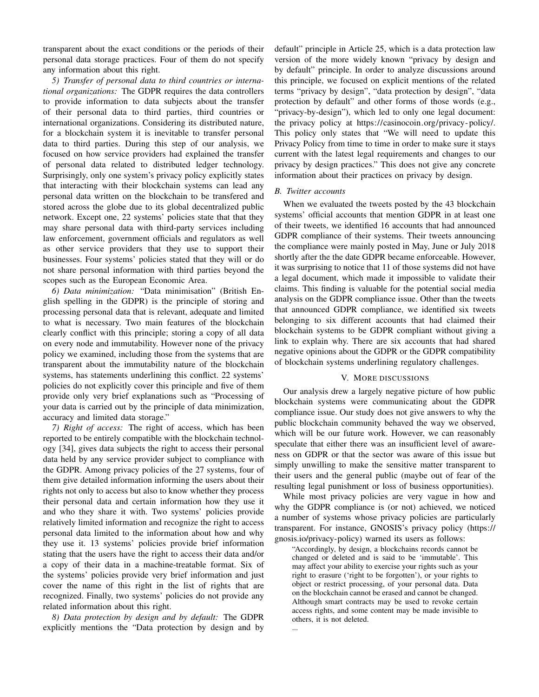transparent about the exact conditions or the periods of their personal data storage practices. Four of them do not specify any information about this right.

*5) Transfer of personal data to third countries or international organizations:* The GDPR requires the data controllers to provide information to data subjects about the transfer of their personal data to third parties, third countries or international organizations. Considering its distributed nature, for a blockchain system it is inevitable to transfer personal data to third parties. During this step of our analysis, we focused on how service providers had explained the transfer of personal data related to distributed ledger technology. Surprisingly, only one system's privacy policy explicitly states that interacting with their blockchain systems can lead any personal data written on the blockchain to be transfered and stored across the globe due to its global decentralized public network. Except one, 22 systems' policies state that that they may share personal data with third-party services including law enforcement, government officials and regulators as well as other service providers that they use to support their businesses. Four systems' policies stated that they will or do not share personal information with third parties beyond the scopes such as the European Economic Area.

*6) Data minimization:* "Data minimisation" (British English spelling in the GDPR) is the principle of storing and processing personal data that is relevant, adequate and limited to what is necessary. Two main features of the blockchain clearly conflict with this principle; storing a copy of all data on every node and immutability. However none of the privacy policy we examined, including those from the systems that are transparent about the immutability nature of the blockchain systems, has statements underlining this conflict. 22 systems' policies do not explicitly cover this principle and five of them provide only very brief explanations such as "Processing of your data is carried out by the principle of data minimization, accuracy and limited data storage."

*7) Right of access:* The right of access, which has been reported to be entirely compatible with the blockchain technology [34], gives data subjects the right to access their personal data held by any service provider subject to compliance with the GDPR. Among privacy policies of the 27 systems, four of them give detailed information informing the users about their rights not only to access but also to know whether they process their personal data and certain information how they use it and who they share it with. Two systems' policies provide relatively limited information and recognize the right to access personal data limited to the information about how and why they use it. 13 systems' policies provide brief information stating that the users have the right to access their data and/or a copy of their data in a machine-treatable format. Six of the systems' policies provide very brief information and just cover the name of this right in the list of rights that are recognized. Finally, two systems' policies do not provide any related information about this right.

*8) Data protection by design and by default:* The GDPR explicitly mentions the "Data protection by design and by default" principle in Article 25, which is a data protection law version of the more widely known "privacy by design and by default" principle. In order to analyze discussions around this principle, we focused on explicit mentions of the related terms "privacy by design", "data protection by design", "data protection by default" and other forms of those words (e.g., "privacy-by-design"), which led to only one legal document: the privacy policy at https://casinocoin.org/privacy- policy/. This policy only states that "We will need to update this Privacy Policy from time to time in order to make sure it stays current with the latest legal requirements and changes to our privacy by design practices." This does not give any concrete information about their practices on privacy by design.

#### *B. Twitter accounts*

When we evaluated the tweets posted by the 43 blockchain systems' official accounts that mention GDPR in at least one of their tweets, we identified 16 accounts that had announced GDPR compliance of their systems. Their tweets announcing the compliance were mainly posted in May, June or July 2018 shortly after the the date GDPR became enforceable. However, it was surprising to notice that 11 of those systems did not have a legal document, which made it impossible to validate their claims. This finding is valuable for the potential social media analysis on the GDPR compliance issue. Other than the tweets that announced GDPR compliance, we identified six tweets belonging to six different accounts that had claimed their blockchain systems to be GDPR compliant without giving a link to explain why. There are six accounts that had shared negative opinions about the GDPR or the GDPR compatibility of blockchain systems underlining regulatory challenges.

#### V. MORE DISCUSSIONS

Our analysis drew a largely negative picture of how public blockchain systems were communicating about the GDPR compliance issue. Our study does not give answers to why the public blockchain community behaved the way we observed, which will be our future work. However, we can reasonably speculate that either there was an insufficient level of awareness on GDPR or that the sector was aware of this issue but simply unwilling to make the sensitive matter transparent to their users and the general public (maybe out of fear of the resulting legal punishment or loss of business opportunities).

While most privacy policies are very vague in how and why the GDPR compliance is (or not) achieved, we noticed a number of systems whose privacy policies are particularly transparent. For instance, GNOSIS's privacy policy (https:// gnosis.io/privacy-policy) warned its users as follows:

"Accordingly, by design, a blockchains records cannot be changed or deleted and is said to be 'immutable'. This may affect your ability to exercise your rights such as your right to erasure ('right to be forgotten'), or your rights to object or restrict processing, of your personal data. Data on the blockchain cannot be erased and cannot be changed. Although smart contracts may be used to revoke certain access rights, and some content may be made invisible to others, it is not deleted.

...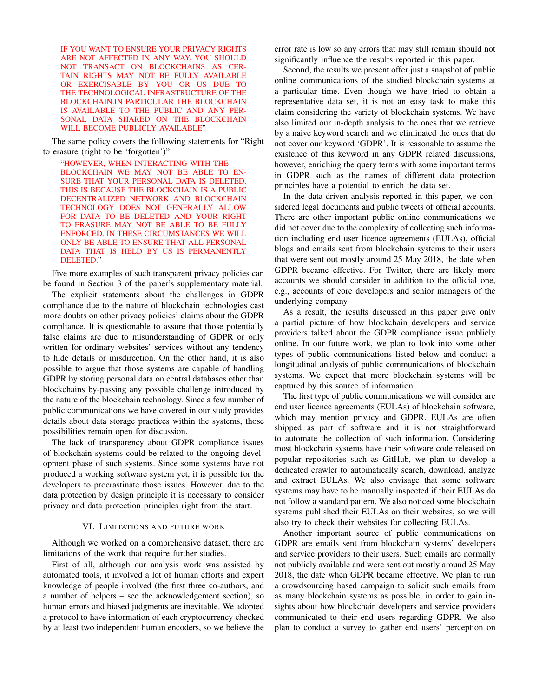IF YOU WANT TO ENSURE YOUR PRIVACY RIGHTS ARE NOT AFFECTED IN ANY WAY, YOU SHOULD NOT TRANSACT ON BLOCKCHAINS AS CER-TAIN RIGHTS MAY NOT BE FULLY AVAILABLE OR EXERCISABLE BY YOU OR US DUE TO THE TECHNOLOGICAL INFRASTRUCTURE OF THE BLOCKCHAIN.IN PARTICULAR THE BLOCKCHAIN IS AVAILABLE TO THE PUBLIC AND ANY PER-SONAL DATA SHARED ON THE BLOCKCHAIN WILL BECOME PUBLICLY AVAILABLE"

The same policy covers the following statements for "Right to erasure (right to be 'forgotten')":

"HOWEVER, WHEN INTERACTING WITH THE BLOCKCHAIN WE MAY NOT BE ABLE TO EN-SURE THAT YOUR PERSONAL DATA IS DELETED. THIS IS BECAUSE THE BLOCKCHAIN IS A PUBLIC DECENTRALIZED NETWORK AND BLOCKCHAIN TECHNOLOGY DOES NOT GENERALLY ALLOW FOR DATA TO BE DELETED AND YOUR RIGHT TO ERASURE MAY NOT BE ABLE TO BE FULLY ENFORCED. IN THESE CIRCUMSTANCES WE WILL ONLY BE ABLE TO ENSURE THAT ALL PERSONAL DATA THAT IS HELD BY US IS PERMANENTLY DELETED."

Five more examples of such transparent privacy policies can be found in Section 3 of the paper's supplementary material.

The explicit statements about the challenges in GDPR compliance due to the nature of blockchain technologies cast more doubts on other privacy policies' claims about the GDPR compliance. It is questionable to assure that those potentially false claims are due to misunderstanding of GDPR or only written for ordinary websites' services without any tendency to hide details or misdirection. On the other hand, it is also possible to argue that those systems are capable of handling GDPR by storing personal data on central databases other than blockchains by-passing any possible challenge introduced by the nature of the blockchain technology. Since a few number of public communications we have covered in our study provides details about data storage practices within the systems, those possibilities remain open for discussion.

The lack of transparency about GDPR compliance issues of blockchain systems could be related to the ongoing development phase of such systems. Since some systems have not produced a working software system yet, it is possible for the developers to procrastinate those issues. However, due to the data protection by design principle it is necessary to consider privacy and data protection principles right from the start.

#### VI. LIMITATIONS AND FUTURE WORK

Although we worked on a comprehensive dataset, there are limitations of the work that require further studies.

First of all, although our analysis work was assisted by automated tools, it involved a lot of human efforts and expert knowledge of people involved (the first three co-authors, and a number of helpers – see the acknowledgement section), so human errors and biased judgments are inevitable. We adopted a protocol to have information of each cryptocurrency checked by at least two independent human encoders, so we believe the

error rate is low so any errors that may still remain should not significantly influence the results reported in this paper.

Second, the results we present offer just a snapshot of public online communications of the studied blockchain systems at a particular time. Even though we have tried to obtain a representative data set, it is not an easy task to make this claim considering the variety of blockchain systems. We have also limited our in-depth analysis to the ones that we retrieve by a naive keyword search and we eliminated the ones that do not cover our keyword 'GDPR'. It is reasonable to assume the existence of this keyword in any GDPR related discussions, however, enriching the query terms with some important terms in GDPR such as the names of different data protection principles have a potential to enrich the data set.

In the data-driven analysis reported in this paper, we considered legal documents and public tweets of official accounts. There are other important public online communications we did not cover due to the complexity of collecting such information including end user licence agreements (EULAs), official blogs and emails sent from blockchain systems to their users that were sent out mostly around 25 May 2018, the date when GDPR became effective. For Twitter, there are likely more accounts we should consider in addition to the official one, e.g., accounts of core developers and senior managers of the underlying company.

As a result, the results discussed in this paper give only a partial picture of how blockchain developers and service providers talked about the GDPR compliance issue publicly online. In our future work, we plan to look into some other types of public communications listed below and conduct a longitudinal analysis of public communications of blockchain systems. We expect that more blockchain systems will be captured by this source of information.

The first type of public communications we will consider are end user licence agreements (EULAs) of blockchain software, which may mention privacy and GDPR. EULAs are often shipped as part of software and it is not straightforward to automate the collection of such information. Considering most blockchain systems have their software code released on popular repositories such as GitHub, we plan to develop a dedicated crawler to automatically search, download, analyze and extract EULAs. We also envisage that some software systems may have to be manually inspected if their EULAs do not follow a standard pattern. We also noticed some blockchain systems published their EULAs on their websites, so we will also try to check their websites for collecting EULAs.

Another important source of public communications on GDPR are emails sent from blockchain systems' developers and service providers to their users. Such emails are normally not publicly available and were sent out mostly around 25 May 2018, the date when GDPR became effective. We plan to run a crowdsourcing based campaign to solicit such emails from as many blockchain systems as possible, in order to gain insights about how blockchain developers and service providers communicated to their end users regarding GDPR. We also plan to conduct a survey to gather end users' perception on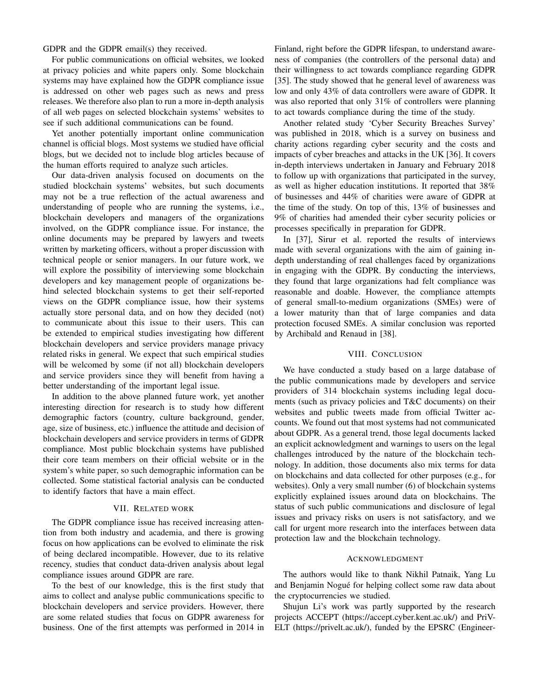GDPR and the GDPR email(s) they received.

For public communications on official websites, we looked at privacy policies and white papers only. Some blockchain systems may have explained how the GDPR compliance issue is addressed on other web pages such as news and press releases. We therefore also plan to run a more in-depth analysis of all web pages on selected blockchain systems' websites to see if such additional communications can be found.

Yet another potentially important online communication channel is official blogs. Most systems we studied have official blogs, but we decided not to include blog articles because of the human efforts required to analyze such articles.

Our data-driven analysis focused on documents on the studied blockchain systems' websites, but such documents may not be a true reflection of the actual awareness and understanding of people who are running the systems, i.e., blockchain developers and managers of the organizations involved, on the GDPR compliance issue. For instance, the online documents may be prepared by lawyers and tweets written by marketing officers, without a proper discussion with technical people or senior managers. In our future work, we will explore the possibility of interviewing some blockchain developers and key management people of organizations behind selected blockchain systems to get their self-reported views on the GDPR compliance issue, how their systems actually store personal data, and on how they decided (not) to communicate about this issue to their users. This can be extended to empirical studies investigating how different blockchain developers and service providers manage privacy related risks in general. We expect that such empirical studies will be welcomed by some (if not all) blockchain developers and service providers since they will benefit from having a better understanding of the important legal issue.

In addition to the above planned future work, yet another interesting direction for research is to study how different demographic factors (country, culture background, gender, age, size of business, etc.) influence the attitude and decision of blockchain developers and service providers in terms of GDPR compliance. Most public blockchain systems have published their core team members on their official website or in the system's white paper, so such demographic information can be collected. Some statistical factorial analysis can be conducted to identify factors that have a main effect.

#### VII. RELATED WORK

The GDPR compliance issue has received increasing attention from both industry and academia, and there is growing focus on how applications can be evolved to eliminate the risk of being declared incompatible. However, due to its relative recency, studies that conduct data-driven analysis about legal compliance issues around GDPR are rare.

To the best of our knowledge, this is the first study that aims to collect and analyse public communications specific to blockchain developers and service providers. However, there are some related studies that focus on GDPR awareness for business. One of the first attempts was performed in 2014 in

Finland, right before the GDPR lifespan, to understand awareness of companies (the controllers of the personal data) and their willingness to act towards compliance regarding GDPR [35]. The study showed that he general level of awareness was low and only 43% of data controllers were aware of GDPR. It was also reported that only 31% of controllers were planning to act towards compliance during the time of the study.

Another related study 'Cyber Security Breaches Survey' was published in 2018, which is a survey on business and charity actions regarding cyber security and the costs and impacts of cyber breaches and attacks in the UK [36]. It covers in-depth interviews undertaken in January and February 2018 to follow up with organizations that participated in the survey, as well as higher education institutions. It reported that 38% of businesses and 44% of charities were aware of GDPR at the time of the study. On top of this, 13% of businesses and 9% of charities had amended their cyber security policies or processes specifically in preparation for GDPR.

In [37], Sirur et al. reported the results of interviews made with several organizations with the aim of gaining indepth understanding of real challenges faced by organizations in engaging with the GDPR. By conducting the interviews, they found that large organizations had felt compliance was reasonable and doable. However, the compliance attempts of general small-to-medium organizations (SMEs) were of a lower maturity than that of large companies and data protection focused SMEs. A similar conclusion was reported by Archibald and Renaud in [38].

#### VIII. CONCLUSION

We have conducted a study based on a large database of the public communications made by developers and service providers of 314 blockchain systems including legal documents (such as privacy policies and T&C documents) on their websites and public tweets made from official Twitter accounts. We found out that most systems had not communicated about GDPR. As a general trend, those legal documents lacked an explicit acknowledgment and warnings to users on the legal challenges introduced by the nature of the blockchain technology. In addition, those documents also mix terms for data on blockchains and data collected for other purposes (e.g., for websites). Only a very small number (6) of blockchain systems explicitly explained issues around data on blockchains. The status of such public communications and disclosure of legal issues and privacy risks on users is not satisfactory, and we call for urgent more research into the interfaces between data protection law and the blockchain technology.

#### ACKNOWLEDGMENT

The authors would like to thank Nikhil Patnaik, Yang Lu and Benjamin Nogué for helping collect some raw data about the cryptocurrencies we studied.

Shujun Li's work was partly supported by the research projects ACCEPT (https://accept.cyber.kent.ac.uk/) and PriV-ELT (https://privelt.ac.uk/), funded by the EPSRC (Engineer